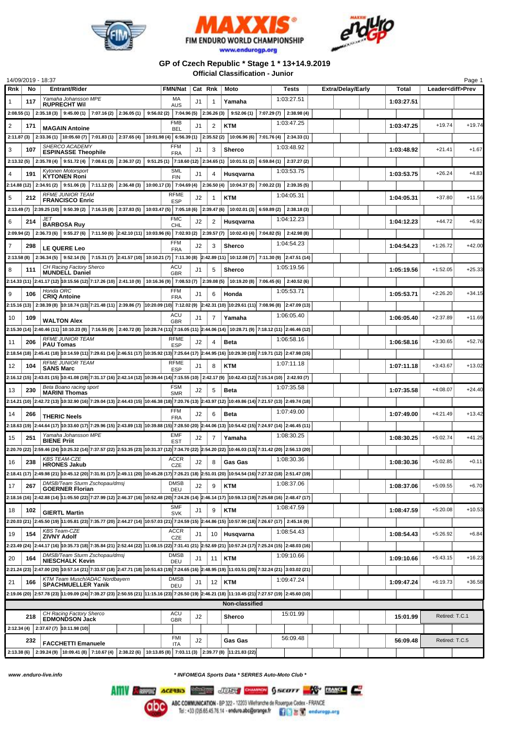





## **GP of Czech Republic \* Stage 1 \* 13+14.9.2019 Official Classification - Junior**

|                                             | 14/09/2019 - 18:37 |                                                                                                                                                                                                                |                           |    |                |                                                                           |                         |                          |            |                          | Page 1   |
|---------------------------------------------|--------------------|----------------------------------------------------------------------------------------------------------------------------------------------------------------------------------------------------------------|---------------------------|----|----------------|---------------------------------------------------------------------------|-------------------------|--------------------------|------------|--------------------------|----------|
| Rnk                                         | No                 | <b>Entrant/Rider</b>                                                                                                                                                                                           | <b>FMN/Nat</b>            |    | Cat Rnk        | Moto                                                                      | Tests                   | <b>Extra/Delay/Early</b> | Total      | Leader <diff>Prev</diff> |          |
| 1                                           | 117                | Yamaha Johansson MPE                                                                                                                                                                                           | МA                        | J1 | 1              | Yamaha                                                                    | 1:03:27.51              |                          | 1:03:27.51 |                          |          |
|                                             |                    | <b>RUPRECHT Wil</b>                                                                                                                                                                                            | <b>AUS</b>                |    |                |                                                                           |                         |                          |            |                          |          |
|                                             |                    | $2:08.55(1)$ 2:35.18(3) 9:45.00(1)<br>$7:07.16(2)$ 2:36.05(1)                                                                                                                                                  |                           |    |                | $9:56.02(2)$ 7:04.96 (5) 2:36.26 (3) 9:52.06 (1)                          | $7:07.29(7)$ 2:38.98(4) |                          |            |                          |          |
| 2                                           | 171                | <b>MAGAIN Antoine</b>                                                                                                                                                                                          | <b>FMB</b><br><b>BEL</b>  | J1 | 2              | <b>KTM</b>                                                                | 1:03:47.25              |                          | 1:03:47.25 | $+19.74$                 | $+19.74$ |
|                                             |                    | $2:11.87(3)$ $2:33.36(1)$ $10:05.60(7)$ $7:01.83(1)$ $2:37.65(4)$ $10:01.98(4)$ 6:56.39(1) $2:35.52(2)$                                                                                                        |                           |    |                | $10:06.96(6)$ 7:01.76(4) 2:34.33(1)                                       |                         |                          |            |                          |          |
|                                             |                    | SHERCO ACADEMY                                                                                                                                                                                                 | <b>FFM</b>                |    |                |                                                                           | 1:03:48.92              |                          |            |                          |          |
| 3                                           | 107                | <b>ESPINASSE Theophile</b>                                                                                                                                                                                     | <b>FRA</b>                | J1 | 3              | <b>Sherco</b>                                                             |                         |                          | 1:03:48.92 | $+21.41$                 | $+1.67$  |
|                                             |                    | 2:13.32 (5) 2:35.78 (4) 9:51.72 (4) 7:08.61 (3) 2:36.37 (2)                                                                                                                                                    |                           |    |                | 9:51.25 (1) 7:18.60 (12) 2:34.65 (1) 10:01.51 (2) 6:59.84 (1) 2:37.27 (2) |                         |                          |            |                          |          |
|                                             | 191                | Kytonen Motorsport<br><b>KYTONEN Roni</b>                                                                                                                                                                      | <b>SML</b><br><b>FIN</b>  | J1 | 4              | Husqvarna                                                                 | 1:03:53.75              |                          | 1:03:53.75 | $+26.24$                 | $+4.83$  |
|                                             |                    | 2:14.88 (12) 2:34.91 (2) 9:51.06 (3) 7:11.12 (5) 2:36.48 (3) 10:00.17 (3) 7:04.69 (4) 2:36.50 (4) 10:04.37 (5) 7:00.22 (3) 2:39.35 (5)                                                                         |                           |    |                |                                                                           |                         |                          |            |                          |          |
|                                             |                    | <b>RFME JUNIOR TEAM</b>                                                                                                                                                                                        | RFME                      |    |                |                                                                           | 1:04:05.31              |                          |            |                          |          |
| 5                                           | 212                | <b>FRANCISCO Enric</b>                                                                                                                                                                                         | <b>ESP</b>                | J2 | 1              | <b>KTM</b>                                                                |                         |                          | 1:04:05.31 | $+37.80$                 | $+11.56$ |
|                                             |                    | 2:13.49 (7) 2:39.25 (10) 9:50.39 (2) 7:16.15 (8) 2:37.83 (5) 10:03.47 (5) 7:05.18 (6) 2:39.47 (6)                                                                                                              |                           |    |                | 10:02.01(3) 6:59.89(2) 2:38.18(3)                                         |                         |                          |            |                          |          |
| 6                                           | 214                | <b>JET</b>                                                                                                                                                                                                     | <b>FMC</b>                | J2 | 2              | Husqvarna                                                                 | 1:04:12.23              |                          | 1:04:12.23 | $+44.72$                 | $+6.92$  |
|                                             |                    | <b>BARBOSA Ruy</b><br>7:11.50 (6) $\left 2:42.10(11)\right 10:03.96(6)\left 7:02.93(2)\right 2:39.57(7)\left 10:02.43(4)\right 7:04.82(5)\left 2:42.98(8)\right $<br>$2:09.94(2)$ 2:36.73(6) 9:55.27(6)        | CHL                       |    |                |                                                                           |                         |                          |            |                          |          |
|                                             |                    |                                                                                                                                                                                                                | <b>FFM</b>                |    |                |                                                                           |                         |                          |            |                          |          |
| 7                                           | 298                | LE QUERE Leo                                                                                                                                                                                                   | <b>FRA</b>                | J2 | 3              | <b>Sherco</b>                                                             | 1:04:54.23              |                          | 1:04:54.23 | $+1:26.72$               | $+42.00$ |
|                                             |                    | 2:13.58 (8) $\mid$ 2:36.34 (5) $\mid$ 9:52.14 (5) $\mid$ 7:15.31 (7) $\mid$ 2:41.57 (10) $\mid$ 10:10.21 (7) $\mid$ 7:11.30 (8) $\mid$ 2:42.89 (11) $\mid$ 10:12.08 (7) $\mid$ 7:11.30 (9) $\mid$ 2:47.51 (14) |                           |    |                |                                                                           |                         |                          |            |                          |          |
| 8                                           | 111                | CH Racing Factory Sherco                                                                                                                                                                                       | <b>ACU</b>                | J1 | 5              | <b>Sherco</b>                                                             | 1:05:19.56              |                          | 1:05:19.56 | $+1:52.05$               | $+25.33$ |
|                                             |                    | <b>MUNDELL Daniel</b>                                                                                                                                                                                          | <b>GBR</b>                |    |                |                                                                           |                         |                          |            |                          |          |
|                                             |                    | 2:14.33 (11) 2:41.17 (12) 10:15.56 (12) 7:17.26 (10) 2:41.10 (9) 10:16.36 (9) 7:08.53 (7) 2:39.08 (5) 10:19.20 (8) 7:06.45 (6) 2:40.52 (6)                                                                     |                           |    |                |                                                                           |                         |                          |            |                          |          |
| 9                                           | 106                | Honda ORC<br><b>CRIQ Antoine</b>                                                                                                                                                                               | <b>FFM</b><br><b>FRA</b>  | J1 | 6              | Honda                                                                     | 1:05:53.71              |                          | 1:05:53.71 | $+2:26.20$               | $+34.15$ |
|                                             |                    | 2:15.16 (13) 2:38.39 (8) 10:18.74 (13) 7:21.48 (11) 2:39.86 (7) 10:20.09 (10) 7:12.02 (9) 2:42.31 (10) 10:29.61 (11) 7:08.96 (8) 2:47.09 (13)                                                                  |                           |    |                |                                                                           |                         |                          |            |                          |          |
|                                             |                    |                                                                                                                                                                                                                | ACU                       |    |                |                                                                           | 1:06:05.40              |                          | 1:06:05.40 | $+2:37.89$               | $+11.69$ |
| 10                                          | 109                | <b>WALTON Alex</b>                                                                                                                                                                                             | <b>GBR</b>                | J1 | 7              | Yamaha                                                                    |                         |                          |            |                          |          |
|                                             |                    | 2:15.30 (14) 2:40.46 (11) 10:10.23 (9) 7:16.55 (9) 2:40.72 (8) 10:28.74 (11) 7:16.05 (11) 2:44.06 (14) 10:28.71 (9) 7:18.12 (11) 2:46.46 (12)                                                                  |                           |    |                |                                                                           |                         |                          |            |                          |          |
| 11                                          | 206                | <b>RFME JUNIOR TEAM</b><br><b>PAU Tomas</b>                                                                                                                                                                    | <b>RFME</b><br><b>ESP</b> | J2 | 4              | Beta                                                                      | 1:06:58.16              |                          | 1:06:58.16 | $+3:30.65$               | $+52.76$ |
|                                             |                    | 2:18.54 (18) 2:45.41 (18) 10:14.59 (11) 7:29.61 (14) 2:46.51 (17) 10:35.92 (13) 7:25.64 (17) 2:44.95 (16) 10:29.30 (10) 7:19.71 (12) 2:47.98 (15)                                                              |                           |    |                |                                                                           |                         |                          |            |                          |          |
|                                             |                    | <b>RFME JUNIOR TEAM</b>                                                                                                                                                                                        | <b>RFME</b>               |    |                |                                                                           | 1:07:11.18              |                          |            |                          |          |
| 12                                          | 104                | <b>SANS Marc</b>                                                                                                                                                                                               | <b>ESP</b>                | J1 | 8              | <b>KTM</b>                                                                |                         |                          | 1:07:11.18 | $+3:43.67$               | $+13.02$ |
|                                             |                    | 2:16.12 (15) 2:43.01 (15) 10:41.08 (19) 7:31.17 (16) 2:42.14 (12) 10:39.44 (14) 7:15.55 (10) 2:42.17 (9) 10:42.43 (12) 7:15.14 (10) 2:42.93 (7)                                                                |                           |    |                |                                                                           |                         |                          |            |                          |          |
| 13                                          | 230                | Beta Boano racing sport                                                                                                                                                                                        | <b>FSM</b>                | J2 | 5              | <b>Beta</b>                                                               | 1:07:35.58              |                          | 1:07:35.58 | $+4:08.07$               | $+24.40$ |
|                                             |                    | <b>MARINI Thomas</b><br>2:14.21 (10) 2:42.72 (13) 10:32.90 (16) 7:29.04 (13) 2:44.43 (15) 10:46.38 (18) 7:20.76 (13) 2:43.97 (12) 10:49.86 (14) 7:21.57 (13) 2:49.74 (18)                                      | <b>SMR</b>                |    |                |                                                                           |                         |                          |            |                          |          |
|                                             |                    |                                                                                                                                                                                                                |                           |    |                |                                                                           |                         |                          |            |                          |          |
| 14                                          | 266                | <b>THERIC Neels</b>                                                                                                                                                                                            | <b>FFM</b><br><b>FRA</b>  | J2 | 6              | Beta                                                                      | 1:07:49.00              |                          | 1:07:49.00 | $+4:21.49$               | $+13.42$ |
|                                             |                    | 2:18.63 (19) 2:44.64 (17) 10:33.60 (17) 7:29.96 (15) 2:43.89 (13) 10:39.88 (15) 7:28.50 (20) 2:44.06 (13) 10:54.42 (15) 7:24.97 (14) 2:46.45 (11)                                                              |                           |    |                |                                                                           |                         |                          |            |                          |          |
| 15                                          | 251                | Yamaha Johansson MPE                                                                                                                                                                                           | <b>EMF</b>                | J2 | $\overline{7}$ | Yamaha                                                                    | 1:08:30.25              |                          | 1:08:30.25 | $+5:02.74$               | $+41.25$ |
|                                             |                    | <b>BIENE Priit</b>                                                                                                                                                                                             | <b>EST</b>                |    |                |                                                                           |                         |                          |            |                          |          |
|                                             |                    | 2:20.70 (22) 2:59.46 (24) 10:25.32 (14) 7:37.57 (22) 2:53.35 (23) 10:31.37 (12) 7:34.70 (22) 2:54.20 (22) 10:46.03 (13) 7:31.42 (20) 2:56.13 (20)                                                              |                           |    |                |                                                                           |                         |                          |            |                          |          |
| 16                                          | 238                | <b>KBS TEAM-CZE</b><br><b>HRONES Jakub</b>                                                                                                                                                                     | <b>ACCR</b><br>CZE        | J2 | 8              | Gas Gas                                                                   | 1:08:30.36              |                          | 1:08:30.36 | $+5:02.85$               | $+0.11$  |
|                                             |                    | 2:18.41 (17) 2:49.98 (21) 10:45.12 (20) 7:31.91 (17) 2:49.11 (20) 10:45.28 (17) 7:26.21 (18) 2:51.01 (20) 10:54.54 (16) 7:27.32 (18) 2:51.47 (19)                                                              |                           |    |                |                                                                           |                         |                          |            |                          |          |
|                                             |                    | DMSB/Team Sturm Zschopau/dmsj                                                                                                                                                                                  | <b>DMSB</b>               |    |                |                                                                           | 1:08:37.06              |                          |            |                          |          |
| 17                                          | 267                | <b>GOERNER Florian</b>                                                                                                                                                                                         | DEU                       | J2 | 9              | KTM                                                                       |                         |                          | 1:08:37.06 | $+5:09.55$               | $+6.70$  |
|                                             |                    | 2:18.16 (16) 2:42.88 (16) 2:42.88 (16) 2:48.47 (17) 2:46.37 (16) 3:52.48 (20) 7:24.26 (14) 2:46.14 (17) 3:45.14 (17) 3:25.68 (16) 2:48.47 (17)                                                                 |                           |    |                |                                                                           |                         |                          |            |                          |          |
| 18                                          | 102                | <b>GIERTL Martin</b>                                                                                                                                                                                           | <b>SMF</b>                | J1 | 9              | <b>KTM</b>                                                                | 1:08:47.59              |                          | 1:08:47.59 | $+5:20.08$               | $+10.53$ |
|                                             |                    | 2:20.03 (21) 2:45.50 (19) 11:05.81 (23) 7:35.77 (20) 2:44.27 (14) 10:57.03 (21) 7:24.59 (15) 2:44.86 (15) 10:57.90 (18) 7:26.67 (17) 2:45.16 (9)                                                               | <b>SVK</b>                |    |                |                                                                           |                         |                          |            |                          |          |
|                                             |                    | <b>KBS Team-CZE</b>                                                                                                                                                                                            | <b>ACCR</b>               |    |                |                                                                           | 1:08:54.43              |                          |            |                          |          |
| 19                                          | 154                | <b>ZIVNY Adolf</b>                                                                                                                                                                                             | CZE                       | J1 | 10             | Husqvarna                                                                 |                         |                          | 1:08:54.43 | $+5:26.92$               | $+6.84$  |
|                                             |                    | 2:23.49 (24) 2:44.17 (16) 10:35.73 (18) 7:35.84 (21) 2:52.44 (22) 11:08.15 (22) 7:31.41 (21) 2:52.69 (21) 10:57.24 (17) 7:25.24 (15) 2:48.03 (16)                                                              |                           |    |                |                                                                           |                         |                          |            |                          |          |
| 20                                          | 164                | DMSB/Team Sturm Zschopau/dmsj                                                                                                                                                                                  | <b>DMSB</b>               | J1 | 11             | <b>KTM</b>                                                                | 1:09:10.66              |                          | 1:09:10.66 | $+5:43.15$               | $+16.23$ |
|                                             |                    | <b>NIESCHALK Kevin</b>                                                                                                                                                                                         | DEU                       |    |                |                                                                           |                         |                          |            |                          |          |
|                                             |                    | 2:21.24 (23) 2:47.00 (20) 10:57.14 (21) 7:33.57 (18) 2:47.71 (18) 10:51.63 (19) 7:24.65 (16) 2:48.95 (19) 11:03.51 (20) 7:32.24 (21) 3:03.02 (21)                                                              |                           |    |                |                                                                           |                         |                          |            |                          |          |
| 21                                          | 166                | KTM Team Musch/ADAC Nordbayern<br><b>SPACHMUELLER Yanik</b>                                                                                                                                                    | <b>DMSB</b><br>DEU        | J1 |                | $12$ KTM                                                                  | 1:09:47.24              |                          | 1:09:47.24 | $+6:19.73$               | $+36.58$ |
|                                             |                    | 2:19.06 (20) 2:57.78 (23) 11:09.09 (24) 7:39.27 (23) 2:50.55 (21) 11:15.16 (23) 7:26.50 (19) 2:46.21 (18) 11:10.45 (21) 7:27.57 (19) 2:45.60 (10)                                                              |                           |    |                |                                                                           |                         |                          |            |                          |          |
| Non-classified                              |                    |                                                                                                                                                                                                                |                           |    |                |                                                                           |                         |                          |            |                          |          |
| CH Racing Factory Sherco<br>ACU<br>15:01.99 |                    |                                                                                                                                                                                                                |                           |    |                |                                                                           |                         |                          |            |                          |          |
|                                             | 218                | <b>EDMONDSON Jack</b>                                                                                                                                                                                          | <b>GBR</b>                | J2 |                | <b>Sherco</b>                                                             |                         |                          | 15:01.99   | Retired: T.C.1           |          |
|                                             |                    | $2:12.34(4)$ 2:37.67(7) 10:11.98(10)                                                                                                                                                                           |                           |    |                |                                                                           |                         |                          |            |                          |          |
|                                             | 232                |                                                                                                                                                                                                                | <b>FMI</b>                | J2 |                | Gas Gas                                                                   | 56:09.48                |                          | 56:09.48   | Retired: T.C.5           |          |
|                                             |                    | <b>FACCHETTI Emanuele</b>                                                                                                                                                                                      | <b>ITA</b>                |    |                |                                                                           |                         |                          |            |                          |          |
|                                             |                    | 2:13.38 (6) 2:39.24 (9) 10:09.41 (8) 7:10.67 (4) 2:38.22 (6) 10:13.85 (8) 7:03.11 (3) 2:39.77 (8) 11:21.83 (22)                                                                                                |                           |    |                |                                                                           |                         |                          |            |                          |          |

*www .enduro-live.info \* INFOMEGA Sports Data \* SERRES Auto-Moto Club \**

Alliv Change Access Manager JUSS CHANGE CHANGE CO